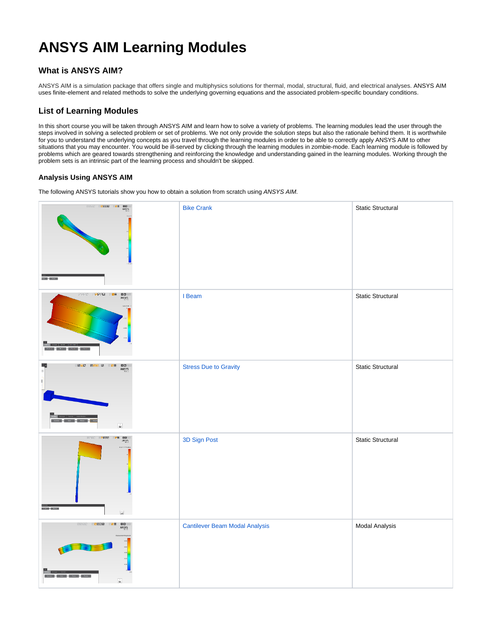## **ANSYS AIM Learning Modules**

## **What is ANSYS AIM?**

ANSYS AIM is a simulation package that offers single and multiphysics solutions for thermal, modal, structural, fluid, and electrical analyses. ANSYS AIM uses finite-element and related methods to solve the underlying governing equations and the associated problem-specific boundary conditions.

## **List of Learning Modules**

In this short course you will be taken through ANSYS AIM and learn how to solve a variety of problems. The learning modules lead the user through the steps involved in solving a selected problem or set of problems. We not only provide the solution steps but also the rationale behind them. It is worthwhile for you to understand the underlying concepts as you travel through the learning modules in order to be able to correctly apply ANSYS AIM to other situations that you may encounter. You would be ill-served by clicking through the learning modules in zombie-mode. Each learning module is followed by problems which are geared towards strengthening and reinforcing the knowledge and understanding gained in the learning modules. Working through the problem sets is an intrinsic part of the learning process and shouldn't be skipped.

## **Analysis Using ANSYS AIM**

The following ANSYS tutorials show you how to obtain a solution from scratch using ANSYS AIM.

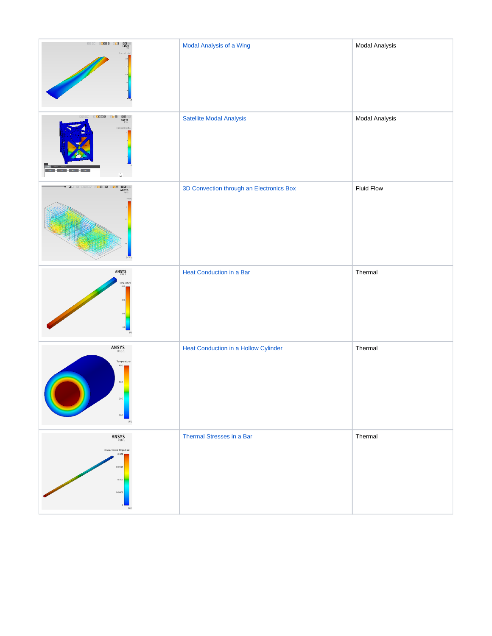| NORD SZEGE PRZ DOU:<br>ANSYS                                                                                                                                                                                                               | Modal Analysis of a Wing                 | Modal Analysis    |
|--------------------------------------------------------------------------------------------------------------------------------------------------------------------------------------------------------------------------------------------|------------------------------------------|-------------------|
| e <mark>enere die speke</mark> nde van die spekende van die spekende van die spekende van die spekende van die spekende van die spekende van die spekende van die spekende van die spekende van die spekende van die spekende van die spek | Satellite Modal Analysis                 | Modal Analysis    |
| e Noor p <mark>oe e r</mark> e h <mark>pe din</mark> :<br>An <u>sys</u><br>$\Box$                                                                                                                                                          | 3D Convection through an Electronics Box | <b>Fluid Flow</b> |
| ANSYS <sub>R18.1</sub>                                                                                                                                                                                                                     | Heat Conduction in a Bar                 | Thermal           |
| ANSYS <sub>R18.1</sub><br>Temperatur<br>304<br>300<br>100                                                                                                                                                                                  | Heat Conduction in a Hollow Cylinder     | Thermal           |
| $\mathsf{ANSYS}\xspace_{\mathsf{R18.1}}$<br>Displacement Magnitude<br>0.00<br>0.0015<br>0.001<br>0.0005                                                                                                                                    | Thermal Stresses in a Bar                | Thermal           |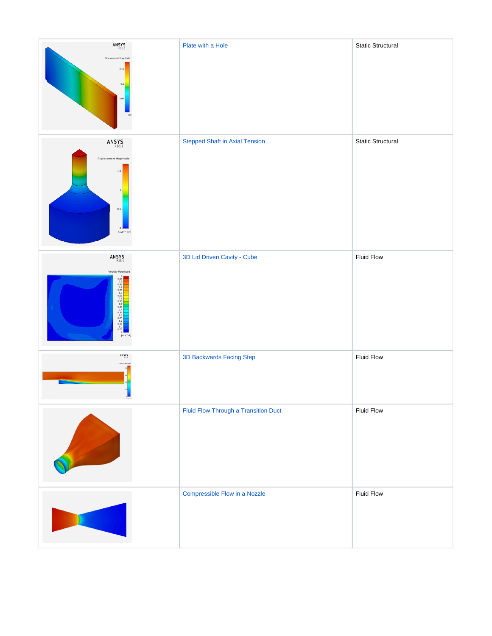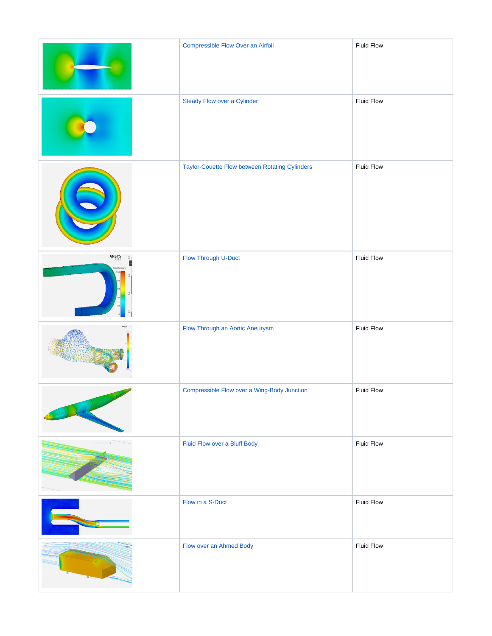|                                         | Compressible Flow Over an Airfoil              | Fluid Flow        |
|-----------------------------------------|------------------------------------------------|-------------------|
|                                         | Steady Flow over a Cylinder                    | Fluid Flow        |
|                                         | Taylor-Couette Flow between Rotating Cylinders | <b>Fluid Flow</b> |
| ANSYS <sub>R18.1</sub><br>$\frac{1}{2}$ | Flow Through U-Duct                            | Fluid Flow        |
|                                         | Flow Through an Aortic Aneurysm                | Fluid Flow        |
|                                         | Compressible Flow over a Wing-Body Junction    | Fluid Flow        |
|                                         | Fluid Flow over a Bluff Body                   | <b>Fluid Flow</b> |
|                                         | Flow in a S-Duct                               | Fluid Flow        |
|                                         | Flow over an Ahmed Body                        | Fluid Flow        |